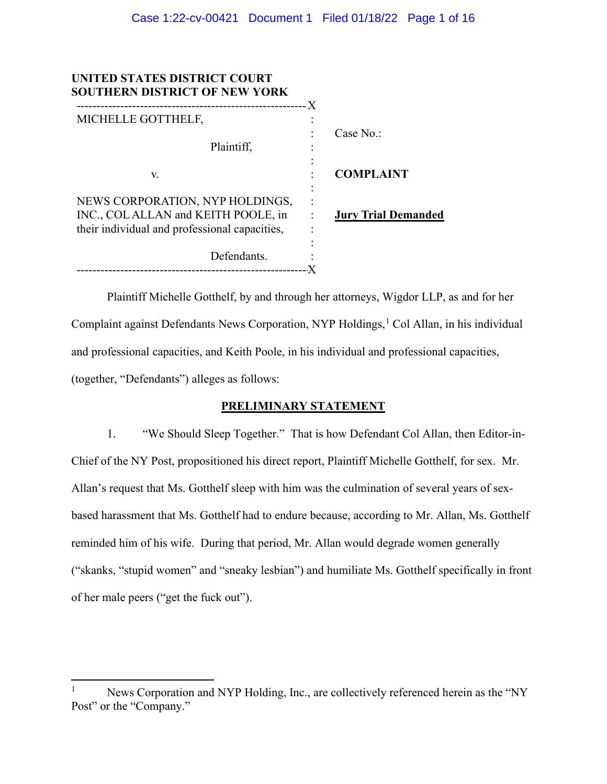| UNITED STATES DISTRICT COURT<br><b>SOUTHERN DISTRICT OF NEW YORK</b>                                                   | - X                                                |
|------------------------------------------------------------------------------------------------------------------------|----------------------------------------------------|
| MICHELLE GOTTHELF,                                                                                                     | ٠                                                  |
| Plaintiff.                                                                                                             | Case $No.$                                         |
| V.                                                                                                                     | <b>COMPLAINT</b>                                   |
| NEWS CORPORATION, NYP HOLDINGS,<br>INC., COLALLAN and KEITH POOLE, in<br>their individual and professional capacities, | <b>Jury Trial Demanded</b><br>$\ddot{\phantom{a}}$ |
| Defendants.                                                                                                            |                                                    |

Plaintiff Michelle Gotthelf, by and through her attorneys, Wigdor LLP, as and for her Complaint against Defendants News Corporation, NYP Holdings,<sup>[1](#page-0-0)</sup> Col Allan, in his individual and professional capacities, and Keith Poole, in his individual and professional capacities, (together, "Defendants") alleges as follows:

# **PRELIMINARY STATEMENT**

1. "We Should Sleep Together." That is how Defendant Col Allan, then Editor-in-Chief of the NY Post, propositioned his direct report, Plaintiff Michelle Gotthelf, for sex. Mr. Allan's request that Ms. Gotthelf sleep with him was the culmination of several years of sexbased harassment that Ms. Gotthelf had to endure because, according to Mr. Allan, Ms. Gotthelf reminded him of his wife. During that period, Mr. Allan would degrade women generally ("skanks, "stupid women" and "sneaky lesbian") and humiliate Ms. Gotthelf specifically in front of her male peers ("get the fuck out").

<span id="page-0-0"></span>News Corporation and NYP Holding, Inc., are collectively referenced herein as the "NY Post" or the "Company."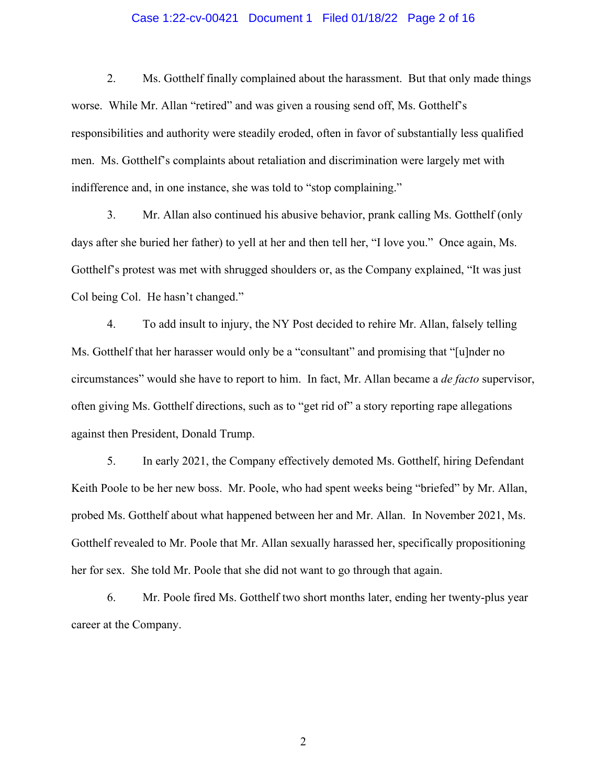## Case 1:22-cv-00421 Document 1 Filed 01/18/22 Page 2 of 16

2. Ms. Gotthelf finally complained about the harassment. But that only made things worse. While Mr. Allan "retired" and was given a rousing send off, Ms. Gotthelf's responsibilities and authority were steadily eroded, often in favor of substantially less qualified men. Ms. Gotthelf's complaints about retaliation and discrimination were largely met with indifference and, in one instance, she was told to "stop complaining."

3. Mr. Allan also continued his abusive behavior, prank calling Ms. Gotthelf (only days after she buried her father) to yell at her and then tell her, "I love you." Once again, Ms. Gotthelf's protest was met with shrugged shoulders or, as the Company explained, "It was just Col being Col. He hasn't changed."

4. To add insult to injury, the NY Post decided to rehire Mr. Allan, falsely telling Ms. Gotthelf that her harasser would only be a "consultant" and promising that "[u]nder no circumstances" would she have to report to him. In fact, Mr. Allan became a *de facto* supervisor, often giving Ms. Gotthelf directions, such as to "get rid of" a story reporting rape allegations against then President, Donald Trump.

5. In early 2021, the Company effectively demoted Ms. Gotthelf, hiring Defendant Keith Poole to be her new boss. Mr. Poole, who had spent weeks being "briefed" by Mr. Allan, probed Ms. Gotthelf about what happened between her and Mr. Allan. In November 2021, Ms. Gotthelf revealed to Mr. Poole that Mr. Allan sexually harassed her, specifically propositioning her for sex. She told Mr. Poole that she did not want to go through that again.

6. Mr. Poole fired Ms. Gotthelf two short months later, ending her twenty-plus year career at the Company.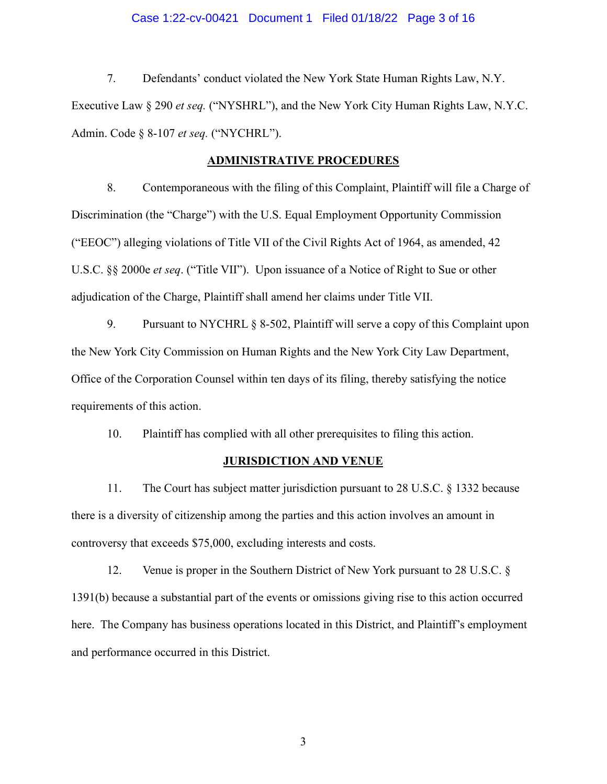## Case 1:22-cv-00421 Document 1 Filed 01/18/22 Page 3 of 16

7. Defendants' conduct violated the New York State Human Rights Law, N.Y. Executive Law § 290 *et seq.* ("NYSHRL"), and the New York City Human Rights Law, N.Y.C. Admin. Code § 8-107 *et seq.* ("NYCHRL").

#### **ADMINISTRATIVE PROCEDURES**

8. Contemporaneous with the filing of this Complaint, Plaintiff will file a Charge of Discrimination (the "Charge") with the U.S. Equal Employment Opportunity Commission ("EEOC") alleging violations of Title VII of the Civil Rights Act of 1964, as amended, 42 U.S.C. §§ 2000e *et seq*. ("Title VII"). Upon issuance of a Notice of Right to Sue or other adjudication of the Charge, Plaintiff shall amend her claims under Title VII.

9. Pursuant to NYCHRL § 8-502, Plaintiff will serve a copy of this Complaint upon the New York City Commission on Human Rights and the New York City Law Department, Office of the Corporation Counsel within ten days of its filing, thereby satisfying the notice requirements of this action.

10. Plaintiff has complied with all other prerequisites to filing this action.

#### **JURISDICTION AND VENUE**

11. The Court has subject matter jurisdiction pursuant to 28 U.S.C. § 1332 because there is a diversity of citizenship among the parties and this action involves an amount in controversy that exceeds \$75,000, excluding interests and costs.

12. Venue is proper in the Southern District of New York pursuant to 28 U.S.C. § 1391(b) because a substantial part of the events or omissions giving rise to this action occurred here. The Company has business operations located in this District, and Plaintiff's employment and performance occurred in this District.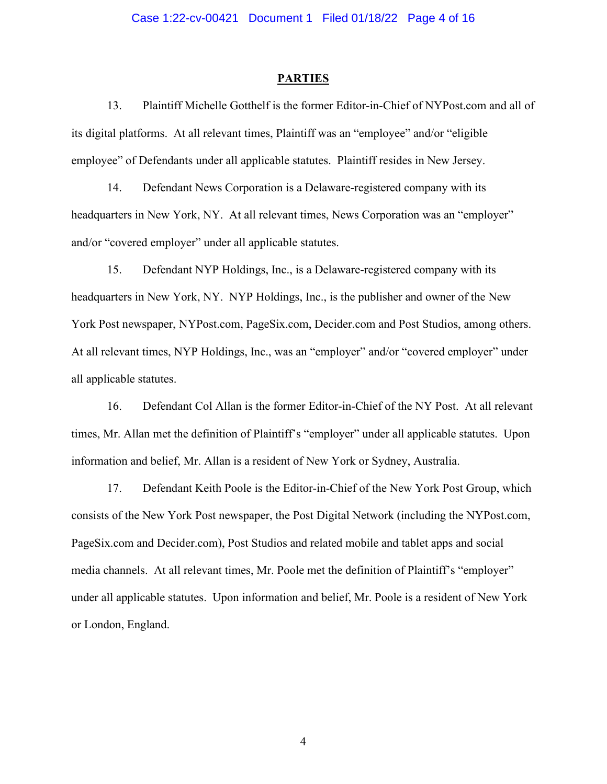#### **PARTIES**

13. Plaintiff Michelle Gotthelf is the former Editor-in-Chief of NYPost.com and all of its digital platforms. At all relevant times, Plaintiff was an "employee" and/or "eligible employee" of Defendants under all applicable statutes. Plaintiff resides in New Jersey.

14. Defendant News Corporation is a Delaware-registered company with its headquarters in New York, NY. At all relevant times, News Corporation was an "employer" and/or "covered employer" under all applicable statutes.

15. Defendant NYP Holdings, Inc., is a Delaware-registered company with its headquarters in New York, NY. NYP Holdings, Inc., is the publisher and owner of the New York Post newspaper, NYPost.com, PageSix.com, Decider.com and Post Studios, among others. At all relevant times, NYP Holdings, Inc., was an "employer" and/or "covered employer" under all applicable statutes.

16. Defendant Col Allan is the former Editor-in-Chief of the NY Post. At all relevant times, Mr. Allan met the definition of Plaintiff's "employer" under all applicable statutes. Upon information and belief, Mr. Allan is a resident of New York or Sydney, Australia.

17. Defendant Keith Poole is the Editor-in-Chief of the New York Post Group, which consists of the New York Post newspaper, the Post Digital Network (including the NYPost.com, PageSix.com and Decider.com), Post Studios and related mobile and tablet apps and social media channels. At all relevant times, Mr. Poole met the definition of Plaintiff's "employer" under all applicable statutes. Upon information and belief, Mr. Poole is a resident of New York or London, England.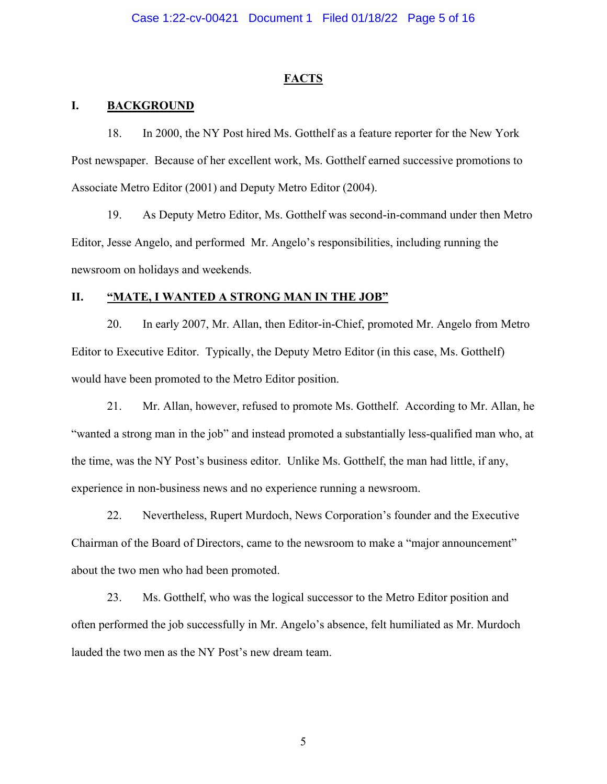## **FACTS**

## **I. BACKGROUND**

18. In 2000, the NY Post hired Ms. Gotthelf as a feature reporter for the New York Post newspaper. Because of her excellent work, Ms. Gotthelf earned successive promotions to Associate Metro Editor (2001) and Deputy Metro Editor (2004).

19. As Deputy Metro Editor, Ms. Gotthelf was second-in-command under then Metro Editor, Jesse Angelo, and performed Mr. Angelo's responsibilities, including running the newsroom on holidays and weekends.

## **II. "MATE, I WANTED A STRONG MAN IN THE JOB"**

20. In early 2007, Mr. Allan, then Editor-in-Chief, promoted Mr. Angelo from Metro Editor to Executive Editor. Typically, the Deputy Metro Editor (in this case, Ms. Gotthelf) would have been promoted to the Metro Editor position.

21. Mr. Allan, however, refused to promote Ms. Gotthelf. According to Mr. Allan, he "wanted a strong man in the job" and instead promoted a substantially less-qualified man who, at the time, was the NY Post's business editor. Unlike Ms. Gotthelf, the man had little, if any, experience in non-business news and no experience running a newsroom.

22. Nevertheless, Rupert Murdoch, News Corporation's founder and the Executive Chairman of the Board of Directors, came to the newsroom to make a "major announcement" about the two men who had been promoted.

23. Ms. Gotthelf, who was the logical successor to the Metro Editor position and often performed the job successfully in Mr. Angelo's absence, felt humiliated as Mr. Murdoch lauded the two men as the NY Post's new dream team.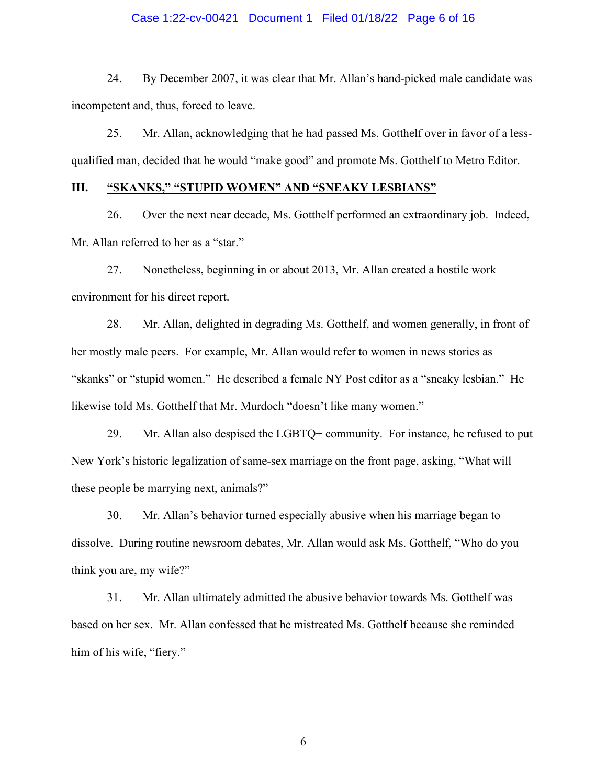### Case 1:22-cv-00421 Document 1 Filed 01/18/22 Page 6 of 16

24. By December 2007, it was clear that Mr. Allan's hand-picked male candidate was incompetent and, thus, forced to leave.

25. Mr. Allan, acknowledging that he had passed Ms. Gotthelf over in favor of a lessqualified man, decided that he would "make good" and promote Ms. Gotthelf to Metro Editor.

# **III. "SKANKS," "STUPID WOMEN" AND "SNEAKY LESBIANS"**

26. Over the next near decade, Ms. Gotthelf performed an extraordinary job. Indeed, Mr. Allan referred to her as a "star."

27. Nonetheless, beginning in or about 2013, Mr. Allan created a hostile work environment for his direct report.

28. Mr. Allan, delighted in degrading Ms. Gotthelf, and women generally, in front of her mostly male peers. For example, Mr. Allan would refer to women in news stories as "skanks" or "stupid women." He described a female NY Post editor as a "sneaky lesbian." He likewise told Ms. Gotthelf that Mr. Murdoch "doesn't like many women."

29. Mr. Allan also despised the LGBTQ+ community. For instance, he refused to put New York's historic legalization of same-sex marriage on the front page, asking, "What will these people be marrying next, animals?"

30. Mr. Allan's behavior turned especially abusive when his marriage began to dissolve. During routine newsroom debates, Mr. Allan would ask Ms. Gotthelf, "Who do you think you are, my wife?"

31. Mr. Allan ultimately admitted the abusive behavior towards Ms. Gotthelf was based on her sex. Mr. Allan confessed that he mistreated Ms. Gotthelf because she reminded him of his wife, "fiery."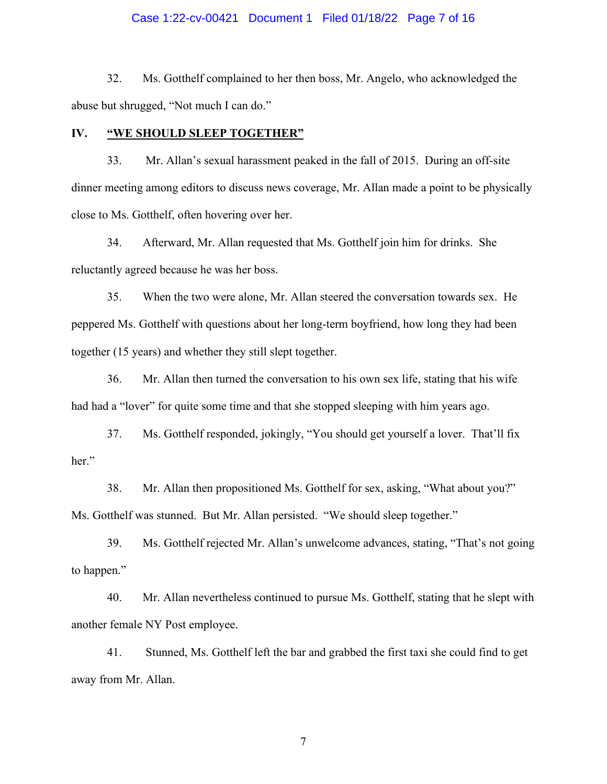### Case 1:22-cv-00421 Document 1 Filed 01/18/22 Page 7 of 16

32. Ms. Gotthelf complained to her then boss, Mr. Angelo, who acknowledged the abuse but shrugged, "Not much I can do."

# **IV. "WE SHOULD SLEEP TOGETHER"**

33. Mr. Allan's sexual harassment peaked in the fall of 2015. During an off-site dinner meeting among editors to discuss news coverage, Mr. Allan made a point to be physically close to Ms. Gotthelf, often hovering over her.

34. Afterward, Mr. Allan requested that Ms. Gotthelf join him for drinks. She reluctantly agreed because he was her boss.

35. When the two were alone, Mr. Allan steered the conversation towards sex. He peppered Ms. Gotthelf with questions about her long-term boyfriend, how long they had been together (15 years) and whether they still slept together.

36. Mr. Allan then turned the conversation to his own sex life, stating that his wife had had a "lover" for quite some time and that she stopped sleeping with him years ago.

37. Ms. Gotthelf responded, jokingly, "You should get yourself a lover. That'll fix her."

38. Mr. Allan then propositioned Ms. Gotthelf for sex, asking, "What about you?" Ms. Gotthelf was stunned. But Mr. Allan persisted. "We should sleep together."

39. Ms. Gotthelf rejected Mr. Allan's unwelcome advances, stating, "That's not going to happen."

40. Mr. Allan nevertheless continued to pursue Ms. Gotthelf, stating that he slept with another female NY Post employee.

41. Stunned, Ms. Gotthelf left the bar and grabbed the first taxi she could find to get away from Mr. Allan.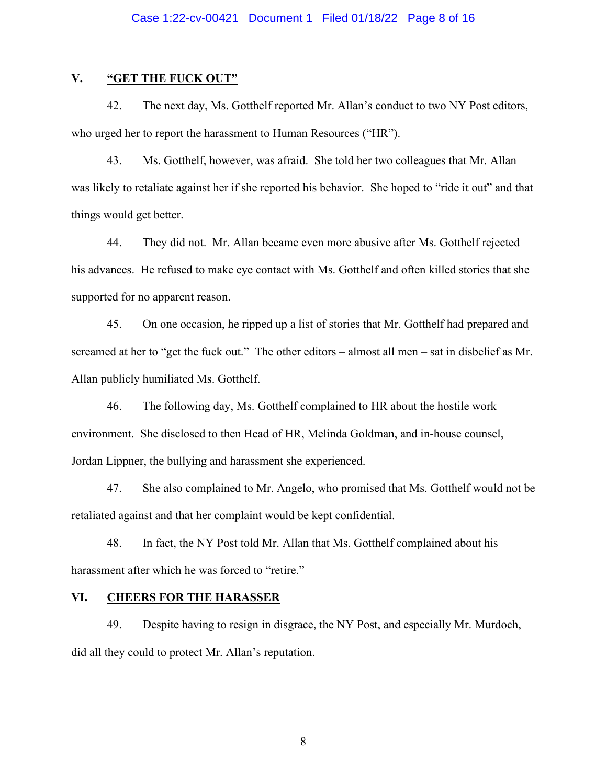# **V. "GET THE FUCK OUT"**

42. The next day, Ms. Gotthelf reported Mr. Allan's conduct to two NY Post editors, who urged her to report the harassment to Human Resources ("HR").

43. Ms. Gotthelf, however, was afraid. She told her two colleagues that Mr. Allan was likely to retaliate against her if she reported his behavior. She hoped to "ride it out" and that things would get better.

44. They did not. Mr. Allan became even more abusive after Ms. Gotthelf rejected his advances. He refused to make eye contact with Ms. Gotthelf and often killed stories that she supported for no apparent reason.

45. On one occasion, he ripped up a list of stories that Mr. Gotthelf had prepared and screamed at her to "get the fuck out." The other editors – almost all men – sat in disbelief as Mr. Allan publicly humiliated Ms. Gotthelf.

46. The following day, Ms. Gotthelf complained to HR about the hostile work environment. She disclosed to then Head of HR, Melinda Goldman, and in-house counsel, Jordan Lippner, the bullying and harassment she experienced.

47. She also complained to Mr. Angelo, who promised that Ms. Gotthelf would not be retaliated against and that her complaint would be kept confidential.

48. In fact, the NY Post told Mr. Allan that Ms. Gotthelf complained about his harassment after which he was forced to "retire."

## **VI. CHEERS FOR THE HARASSER**

49. Despite having to resign in disgrace, the NY Post, and especially Mr. Murdoch, did all they could to protect Mr. Allan's reputation.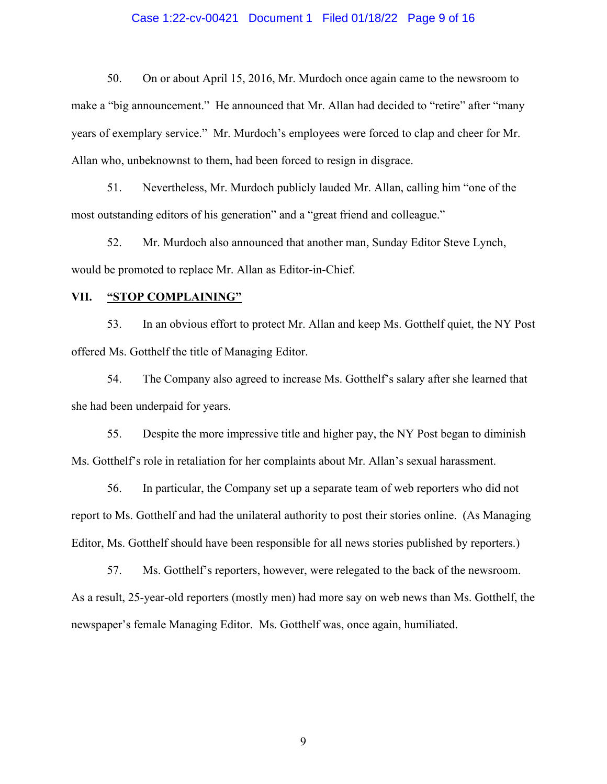### Case 1:22-cv-00421 Document 1 Filed 01/18/22 Page 9 of 16

50. On or about April 15, 2016, Mr. Murdoch once again came to the newsroom to make a "big announcement." He announced that Mr. Allan had decided to "retire" after "many years of exemplary service." Mr. Murdoch's employees were forced to clap and cheer for Mr. Allan who, unbeknownst to them, had been forced to resign in disgrace.

51. Nevertheless, Mr. Murdoch publicly lauded Mr. Allan, calling him "one of the most outstanding editors of his generation" and a "great friend and colleague."

52. Mr. Murdoch also announced that another man, Sunday Editor Steve Lynch, would be promoted to replace Mr. Allan as Editor-in-Chief.

## **VII. "STOP COMPLAINING"**

53. In an obvious effort to protect Mr. Allan and keep Ms. Gotthelf quiet, the NY Post offered Ms. Gotthelf the title of Managing Editor.

54. The Company also agreed to increase Ms. Gotthelf's salary after she learned that she had been underpaid for years.

55. Despite the more impressive title and higher pay, the NY Post began to diminish Ms. Gotthelf's role in retaliation for her complaints about Mr. Allan's sexual harassment.

56. In particular, the Company set up a separate team of web reporters who did not report to Ms. Gotthelf and had the unilateral authority to post their stories online. (As Managing Editor, Ms. Gotthelf should have been responsible for all news stories published by reporters.)

57. Ms. Gotthelf's reporters, however, were relegated to the back of the newsroom. As a result, 25-year-old reporters (mostly men) had more say on web news than Ms. Gotthelf, the newspaper's female Managing Editor. Ms. Gotthelf was, once again, humiliated.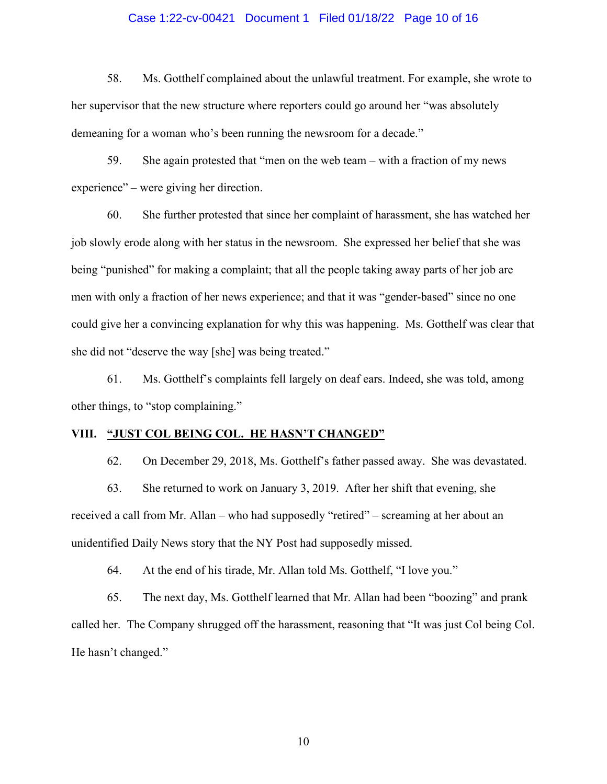## Case 1:22-cv-00421 Document 1 Filed 01/18/22 Page 10 of 16

58. Ms. Gotthelf complained about the unlawful treatment. For example, she wrote to her supervisor that the new structure where reporters could go around her "was absolutely demeaning for a woman who's been running the newsroom for a decade."

59. She again protested that "men on the web team – with a fraction of my news experience" – were giving her direction.

60. She further protested that since her complaint of harassment, she has watched her job slowly erode along with her status in the newsroom. She expressed her belief that she was being "punished" for making a complaint; that all the people taking away parts of her job are men with only a fraction of her news experience; and that it was "gender-based" since no one could give her a convincing explanation for why this was happening. Ms. Gotthelf was clear that she did not "deserve the way [she] was being treated."

61. Ms. Gotthelf's complaints fell largely on deaf ears. Indeed, she was told, among other things, to "stop complaining."

## **VIII. "JUST COL BEING COL. HE HASN'T CHANGED"**

62. On December 29, 2018, Ms. Gotthelf's father passed away. She was devastated. 63. She returned to work on January 3, 2019. After her shift that evening, she received a call from Mr. Allan – who had supposedly "retired" – screaming at her about an unidentified Daily News story that the NY Post had supposedly missed.

64. At the end of his tirade, Mr. Allan told Ms. Gotthelf, "I love you."

65. The next day, Ms. Gotthelf learned that Mr. Allan had been "boozing" and prank called her. The Company shrugged off the harassment, reasoning that "It was just Col being Col. He hasn't changed."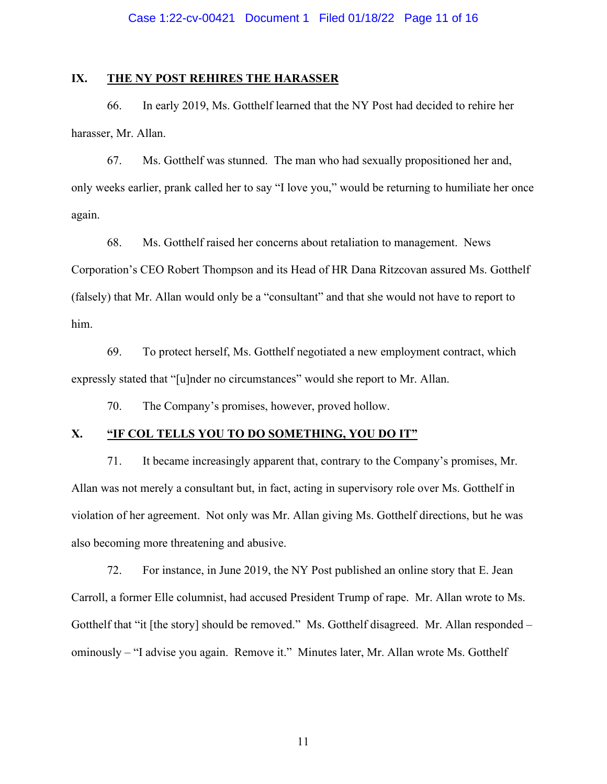# **IX. THE NY POST REHIRES THE HARASSER**

66. In early 2019, Ms. Gotthelf learned that the NY Post had decided to rehire her harasser, Mr. Allan.

67. Ms. Gotthelf was stunned. The man who had sexually propositioned her and, only weeks earlier, prank called her to say "I love you," would be returning to humiliate her once again.

68. Ms. Gotthelf raised her concerns about retaliation to management. News Corporation's CEO Robert Thompson and its Head of HR Dana Ritzcovan assured Ms. Gotthelf (falsely) that Mr. Allan would only be a "consultant" and that she would not have to report to him.

69. To protect herself, Ms. Gotthelf negotiated a new employment contract, which expressly stated that "[u]nder no circumstances" would she report to Mr. Allan.

70. The Company's promises, however, proved hollow.

# **X. "IF COL TELLS YOU TO DO SOMETHING, YOU DO IT"**

71. It became increasingly apparent that, contrary to the Company's promises, Mr. Allan was not merely a consultant but, in fact, acting in supervisory role over Ms. Gotthelf in violation of her agreement. Not only was Mr. Allan giving Ms. Gotthelf directions, but he was also becoming more threatening and abusive.

72. For instance, in June 2019, the NY Post published an online story that E. Jean Carroll, a former Elle columnist, had accused President Trump of rape. Mr. Allan wrote to Ms. Gotthelf that "it [the story] should be removed." Ms. Gotthelf disagreed. Mr. Allan responded – ominously – "I advise you again. Remove it." Minutes later, Mr. Allan wrote Ms. Gotthelf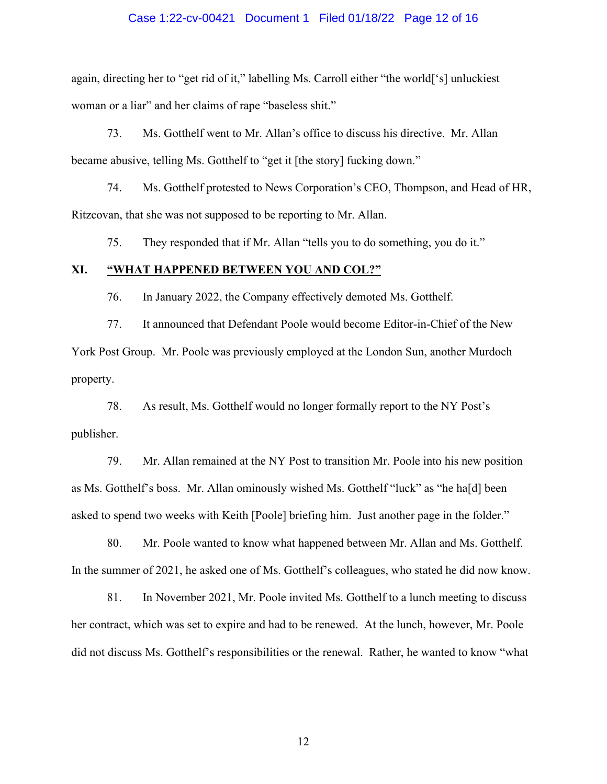## Case 1:22-cv-00421 Document 1 Filed 01/18/22 Page 12 of 16

again, directing her to "get rid of it," labelling Ms. Carroll either "the world['s] unluckiest woman or a liar" and her claims of rape "baseless shit."

73. Ms. Gotthelf went to Mr. Allan's office to discuss his directive. Mr. Allan became abusive, telling Ms. Gotthelf to "get it [the story] fucking down."

74. Ms. Gotthelf protested to News Corporation's CEO, Thompson, and Head of HR, Ritzcovan, that she was not supposed to be reporting to Mr. Allan.

75. They responded that if Mr. Allan "tells you to do something, you do it."

## **XI. "WHAT HAPPENED BETWEEN YOU AND COL?"**

76. In January 2022, the Company effectively demoted Ms. Gotthelf.

77. It announced that Defendant Poole would become Editor-in-Chief of the New York Post Group. Mr. Poole was previously employed at the London Sun, another Murdoch property.

78. As result, Ms. Gotthelf would no longer formally report to the NY Post's publisher.

79. Mr. Allan remained at the NY Post to transition Mr. Poole into his new position as Ms. Gotthelf's boss. Mr. Allan ominously wished Ms. Gotthelf "luck" as "he ha[d] been asked to spend two weeks with Keith [Poole] briefing him. Just another page in the folder."

80. Mr. Poole wanted to know what happened between Mr. Allan and Ms. Gotthelf. In the summer of 2021, he asked one of Ms. Gotthelf's colleagues, who stated he did now know.

81. In November 2021, Mr. Poole invited Ms. Gotthelf to a lunch meeting to discuss her contract, which was set to expire and had to be renewed. At the lunch, however, Mr. Poole did not discuss Ms. Gotthelf's responsibilities or the renewal. Rather, he wanted to know "what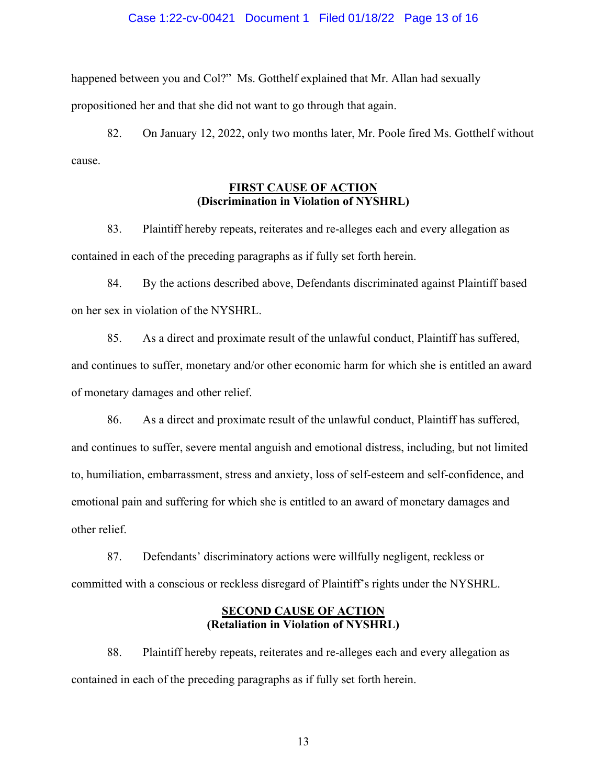### Case 1:22-cv-00421 Document 1 Filed 01/18/22 Page 13 of 16

happened between you and Col?" Ms. Gotthelf explained that Mr. Allan had sexually propositioned her and that she did not want to go through that again.

82. On January 12, 2022, only two months later, Mr. Poole fired Ms. Gotthelf without cause.

# **FIRST CAUSE OF ACTION (Discrimination in Violation of NYSHRL)**

83. Plaintiff hereby repeats, reiterates and re-alleges each and every allegation as contained in each of the preceding paragraphs as if fully set forth herein.

84. By the actions described above, Defendants discriminated against Plaintiff based on her sex in violation of the NYSHRL.

85. As a direct and proximate result of the unlawful conduct, Plaintiff has suffered, and continues to suffer, monetary and/or other economic harm for which she is entitled an award of monetary damages and other relief.

86. As a direct and proximate result of the unlawful conduct, Plaintiff has suffered, and continues to suffer, severe mental anguish and emotional distress, including, but not limited to, humiliation, embarrassment, stress and anxiety, loss of self-esteem and self-confidence, and emotional pain and suffering for which she is entitled to an award of monetary damages and other relief.

87. Defendants' discriminatory actions were willfully negligent, reckless or committed with a conscious or reckless disregard of Plaintiff's rights under the NYSHRL.

# **SECOND CAUSE OF ACTION (Retaliation in Violation of NYSHRL)**

88. Plaintiff hereby repeats, reiterates and re-alleges each and every allegation as contained in each of the preceding paragraphs as if fully set forth herein.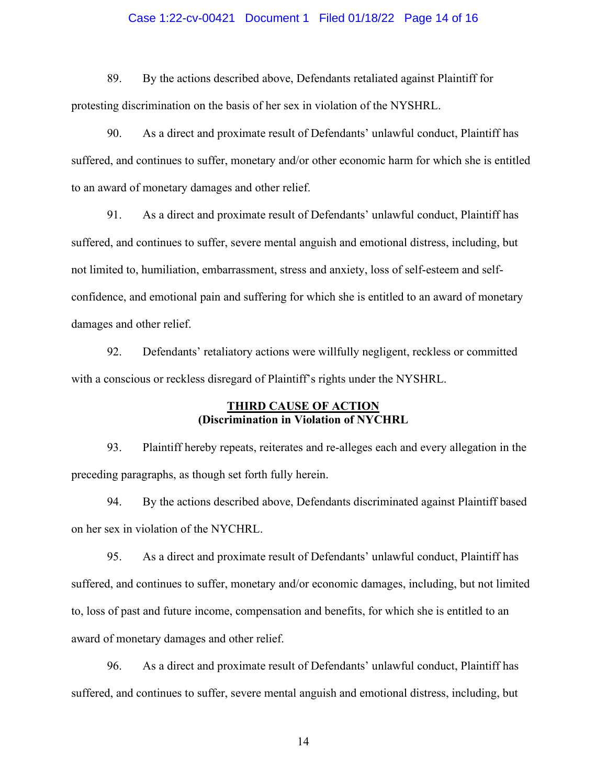## Case 1:22-cv-00421 Document 1 Filed 01/18/22 Page 14 of 16

89. By the actions described above, Defendants retaliated against Plaintiff for protesting discrimination on the basis of her sex in violation of the NYSHRL.

90. As a direct and proximate result of Defendants' unlawful conduct, Plaintiff has suffered, and continues to suffer, monetary and/or other economic harm for which she is entitled to an award of monetary damages and other relief.

91. As a direct and proximate result of Defendants' unlawful conduct, Plaintiff has suffered, and continues to suffer, severe mental anguish and emotional distress, including, but not limited to, humiliation, embarrassment, stress and anxiety, loss of self-esteem and selfconfidence, and emotional pain and suffering for which she is entitled to an award of monetary damages and other relief.

92. Defendants' retaliatory actions were willfully negligent, reckless or committed with a conscious or reckless disregard of Plaintiff's rights under the NYSHRL.

# **THIRD CAUSE OF ACTION (Discrimination in Violation of NYCHRL**

93. Plaintiff hereby repeats, reiterates and re-alleges each and every allegation in the preceding paragraphs, as though set forth fully herein.

94. By the actions described above, Defendants discriminated against Plaintiff based on her sex in violation of the NYCHRL.

95. As a direct and proximate result of Defendants' unlawful conduct, Plaintiff has suffered, and continues to suffer, monetary and/or economic damages, including, but not limited to, loss of past and future income, compensation and benefits, for which she is entitled to an award of monetary damages and other relief.

96. As a direct and proximate result of Defendants' unlawful conduct, Plaintiff has suffered, and continues to suffer, severe mental anguish and emotional distress, including, but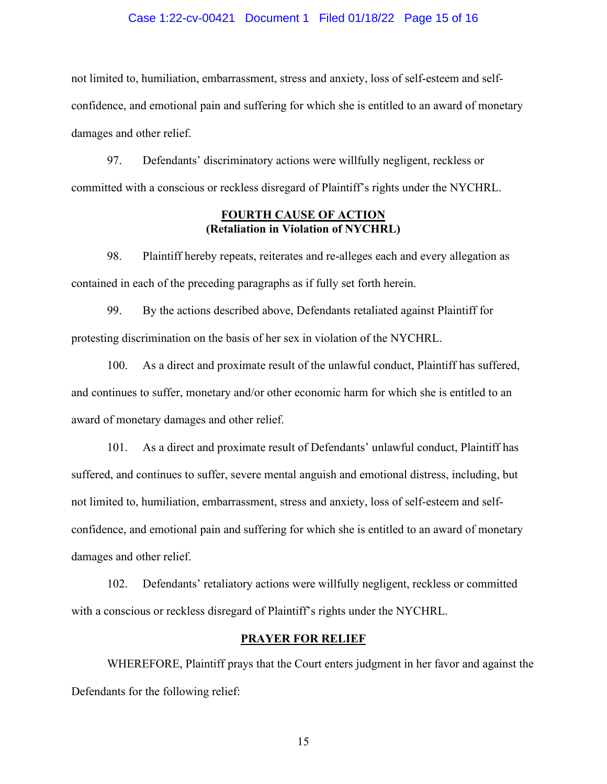## Case 1:22-cv-00421 Document 1 Filed 01/18/22 Page 15 of 16

not limited to, humiliation, embarrassment, stress and anxiety, loss of self-esteem and selfconfidence, and emotional pain and suffering for which she is entitled to an award of monetary damages and other relief.

97. Defendants' discriminatory actions were willfully negligent, reckless or committed with a conscious or reckless disregard of Plaintiff's rights under the NYCHRL.

# **FOURTH CAUSE OF ACTION (Retaliation in Violation of NYCHRL)**

98. Plaintiff hereby repeats, reiterates and re-alleges each and every allegation as contained in each of the preceding paragraphs as if fully set forth herein.

99. By the actions described above, Defendants retaliated against Plaintiff for protesting discrimination on the basis of her sex in violation of the NYCHRL.

100. As a direct and proximate result of the unlawful conduct, Plaintiff has suffered, and continues to suffer, monetary and/or other economic harm for which she is entitled to an award of monetary damages and other relief.

101. As a direct and proximate result of Defendants' unlawful conduct, Plaintiff has suffered, and continues to suffer, severe mental anguish and emotional distress, including, but not limited to, humiliation, embarrassment, stress and anxiety, loss of self-esteem and selfconfidence, and emotional pain and suffering for which she is entitled to an award of monetary damages and other relief.

102. Defendants' retaliatory actions were willfully negligent, reckless or committed with a conscious or reckless disregard of Plaintiff's rights under the NYCHRL.

## **PRAYER FOR RELIEF**

WHEREFORE, Plaintiff prays that the Court enters judgment in her favor and against the Defendants for the following relief: